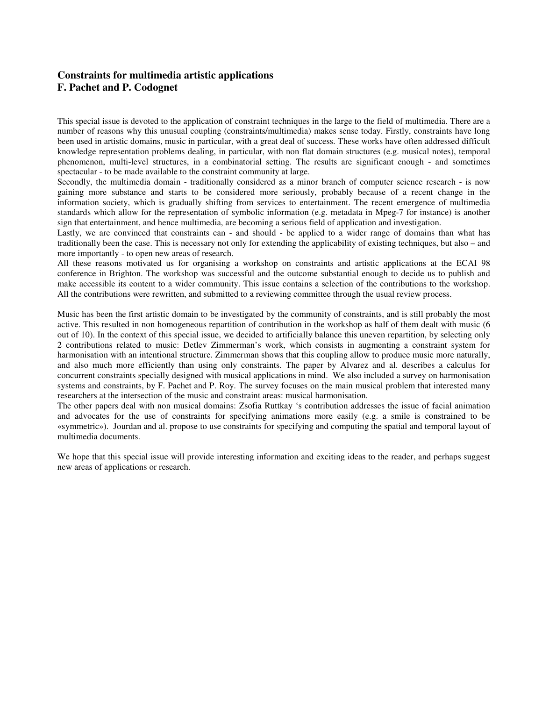## **Constraints for multimedia artistic applications F. Pachet and P. Codognet**

This special issue is devoted to the application of constraint techniques in the large to the field of multimedia. There are a number of reasons why this unusual coupling (constraints/multimedia) makes sense today. Firstly, constraints have long been used in artistic domains, music in particular, with a great deal of success. These works have often addressed difficult knowledge representation problems dealing, in particular, with non flat domain structures (e.g. musical notes), temporal phenomenon, multi-level structures, in a combinatorial setting. The results are significant enough - and sometimes spectacular - to be made available to the constraint community at large.

Secondly, the multimedia domain - traditionally considered as a minor branch of computer science research - is now gaining more substance and starts to be considered more seriously, probably because of a recent change in the information society, which is gradually shifting from services to entertainment. The recent emergence of multimedia standards which allow for the representation of symbolic information (e.g. metadata in Mpeg-7 for instance) is another sign that entertainment, and hence multimedia, are becoming a serious field of application and investigation.

Lastly, we are convinced that constraints can - and should - be applied to a wider range of domains than what has traditionally been the case. This is necessary not only for extending the applicability of existing techniques, but also – and more importantly - to open new areas of research.

All these reasons motivated us for organising a workshop on constraints and artistic applications at the ECAI 98 conference in Brighton. The workshop was successful and the outcome substantial enough to decide us to publish and make accessible its content to a wider community. This issue contains a selection of the contributions to the workshop. All the contributions were rewritten, and submitted to a reviewing committee through the usual review process.

Music has been the first artistic domain to be investigated by the community of constraints, and is still probably the most active. This resulted in non homogeneous repartition of contribution in the workshop as half of them dealt with music (6 out of 10). In the context of this special issue, we decided to artificially balance this uneven repartition, by selecting only 2 contributions related to music: Detlev Zimmerman's work, which consists in augmenting a constraint system for harmonisation with an intentional structure. Zimmerman shows that this coupling allow to produce music more naturally, and also much more efficiently than using only constraints. The paper by Alvarez and al. describes a calculus for concurrent constraints specially designed with musical applications in mind. We also included a survey on harmonisation systems and constraints, by F. Pachet and P. Roy. The survey focuses on the main musical problem that interested many researchers at the intersection of the music and constraint areas: musical harmonisation.

The other papers deal with non musical domains: Zsofia Ruttkay 's contribution addresses the issue of facial animation and advocates for the use of constraints for specifying animations more easily (e.g. a smile is constrained to be «symmetric»). Jourdan and al. propose to use constraints for specifying and computing the spatial and temporal layout of multimedia documents.

We hope that this special issue will provide interesting information and exciting ideas to the reader, and perhaps suggest new areas of applications or research.